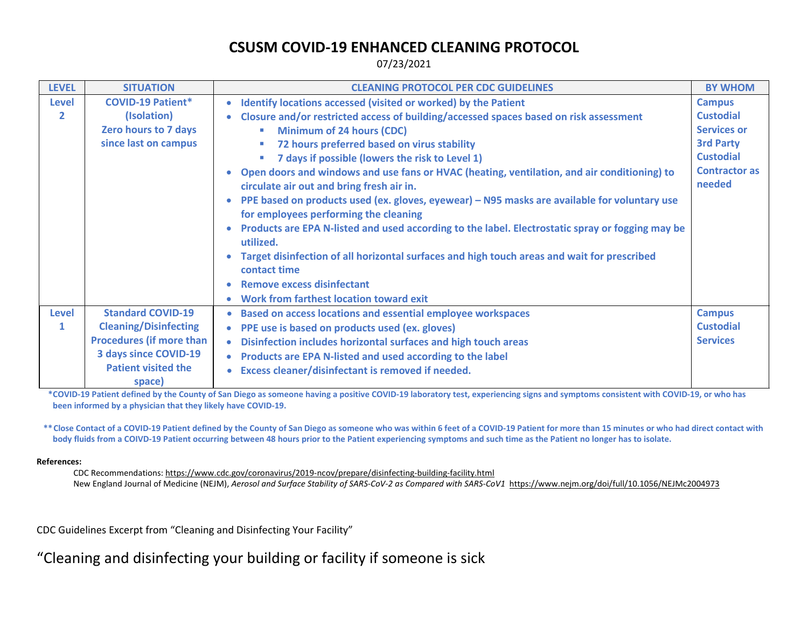## **CSUSM COVID-19 ENHANCED CLEANING PROTOCOL**

07/23/2021

| <b>LEVEL</b>   | <b>SITUATION</b>                     | <b>CLEANING PROTOCOL PER CDC GUIDELINES</b>                                                                                              | <b>BY WHOM</b>                 |
|----------------|--------------------------------------|------------------------------------------------------------------------------------------------------------------------------------------|--------------------------------|
| <b>Level</b>   | <b>COVID-19 Patient*</b>             | Identify locations accessed (visited or worked) by the Patient<br>$\bullet$                                                              | <b>Campus</b>                  |
| $\overline{2}$ | (Isolation)                          | Closure and/or restricted access of building/accessed spaces based on risk assessment<br>$\bullet$                                       | <b>Custodial</b>               |
|                | Zero hours to 7 days                 | <b>Minimum of 24 hours (CDC)</b>                                                                                                         | <b>Services or</b>             |
|                | since last on campus                 | 72 hours preferred based on virus stability                                                                                              | <b>3rd Party</b>               |
|                |                                      | 7 days if possible (lowers the risk to Level 1)<br>$\mathcal{L}_{\mathcal{A}}$                                                           | <b>Custodial</b>               |
|                |                                      | Open doors and windows and use fans or HVAC (heating, ventilation, and air conditioning) to<br>circulate air out and bring fresh air in. | <b>Contractor as</b><br>needed |
|                |                                      | PPE based on products used (ex. gloves, eyewear) – N95 masks are available for voluntary use<br>for employees performing the cleaning    |                                |
|                |                                      | Products are EPA N-listed and used according to the label. Electrostatic spray or fogging may be<br>$\bullet$<br>utilized.               |                                |
|                |                                      | Target disinfection of all horizontal surfaces and high touch areas and wait for prescribed<br>contact time                              |                                |
|                |                                      | <b>Remove excess disinfectant</b>                                                                                                        |                                |
|                |                                      | Work from farthest location toward exit                                                                                                  |                                |
| <b>Level</b>   | <b>Standard COVID-19</b>             | <b>Based on access locations and essential employee workspaces</b>                                                                       | <b>Campus</b>                  |
| $\mathbf{1}$   | <b>Cleaning/Disinfecting</b>         | PPE use is based on products used (ex. gloves)                                                                                           | <b>Custodial</b>               |
|                | <b>Procedures (if more than</b>      | Disinfection includes horizontal surfaces and high touch areas<br>$\bullet$                                                              | <b>Services</b>                |
|                | <b>3 days since COVID-19</b>         | Products are EPA N-listed and used according to the label                                                                                |                                |
|                | <b>Patient visited the</b><br>space) | Excess cleaner/disinfectant is removed if needed.                                                                                        |                                |

**\*COVID-19 Patient defined by the County of San Diego as someone having a positive COVID-19 laboratory test, experiencing signs and symptoms consistent with COVID-19, or who has been informed by a physician that they likely have COVID-19.**

**\*\*Close Contact of a COVID-19 Patient defined by the County of San Diego as someone who was within 6 feet of a COVID-19 Patient for more than 15 minutes or who had direct contact with body fluids from a COIVD-19 Patient occurring between 48 hours prior to the Patient experiencing symptoms and such time as the Patient no longer has to isolate.**

## **References:**

CDC Recommendations[: https://www.cdc.gov/coronavirus/2019-ncov/prepare/disinfecting-building-facility.html](https://www.cdc.gov/coronavirus/2019-ncov/prepare/disinfecting-building-facility.html)  New England Journal of Medicine (NEJM), *Aerosol and Surface Stability of SARS-CoV-2 as Compared with SARS-CoV1* <https://www.nejm.org/doi/full/10.1056/NEJMc2004973>

CDC Guidelines Excerpt from "Cleaning and Disinfecting Your Facility"

"Cleaning and disinfecting your building or facility if someone is sick